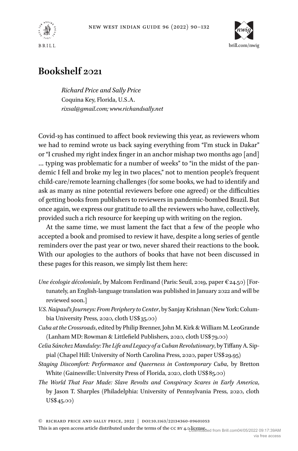



## **Bookshelf 2021**

*Richard Price and Sally Price* Coquina Key, Florida, U.S.A. *[rixsal@gmail.com;](mailto:rixsal@gmail.com) [www.richandsally.net](http://www.richandsally.net)*

Covid-19 has continued to affect book reviewing this year, as reviewers whom we had to remind wrote us back saying everything from "I'm stuck in Dakar" or "I crushed my right index finger in an anchor mishap two months ago [and] … typing was problematic for a number of weeks" to "in the midst of the pandemic I fell and broke my leg in two places," not to mention people's frequent child-care/remote learning challenges (for some books, we had to identify and ask as many as nine potential reviewers before one agreed) or the difficulties of getting books from publishers to reviewers in pandemic-bombed Brazil. But once again, we express our gratitude to all the reviewers who have, collectively, provided such a rich resource for keeping up with writing on the region.

At the same time, we must lament the fact that a few of the people who accepted a book and promised to review it have, despite a long series of gentle reminders over the past year or two, never shared their reactions to the book. With our apologies to the authors of books that have not been discussed in these pages for this reason, we simply list them here:

- *Une écologie décoloniale*, by Malcom Ferdinand (Paris: Seuil, 2019, paper €24.50) [Fortunately, an English-language translation was published in January 2022 and will be reviewed soon.]
- *V.S. Naipaul's Journeys: From Peripheryto Center*, by Sanjay Krishnan (New York: Columbia University Press, 2020, cloth US\$35.00)
- *Cuba atthe Crossroads*, edited by Philip Brenner, John M. Kirk &William M. LeoGrande (Lanham MD: Rowman & Littlefield Publishers, 2020, cloth US\$79.00)
- *Celia Sánchez Manduley: The Life and Legacy of a Cuban Revolutionary*, by Tiffany A. Sippial (Chapel Hill: University of North Carolina Press, 2020, paper US\$29.95)
- *Staging Discomfort: Performance and Queerness in Contemporary Cuba*, by Bretton White (Gainesville: University Press of Florida, 2020, cloth US\$85.00)
- *The World That Fear Made: Slave Revolts and Conspiracy Scares in Early America*, by Jason T. Sharples (Philadelphia: University of Pennsylvania Press, 2020, cloth US\$45.00)

© richard price and sally price, 2022 | doi:10.1163/22134360-09601053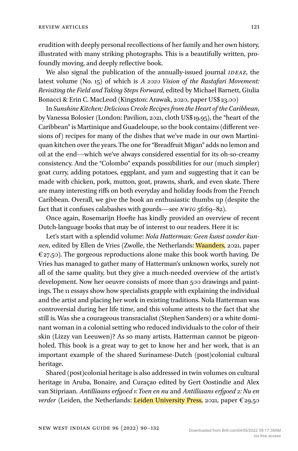erudition with deeply personal recollections of her family and her own history, illustrated with many striking photographs. This is a beautifully written, profoundly moving, and deeply reflective book.

We also signal the publication of the annually-issued journal *IDEAZ*, the latest volume (No. 15) of which is *A 2020 Vision of the Rastafari Movement: Revisiting the Field and Taking Steps Forward*, edited by Michael Barnett, Giulia Bonacci & Erin C. MacLeod (Kingston: Arawak, 2020, paper US\$23.00)

In *Sunshine Kitchen: Delicious Creole Recipes from the Heart of the Caribbean*, by Vanessa Bolosier (London: Pavilion, 2021, cloth US\$19.95), the "heart of the Caribbean" is Martinique and Guadeloupe, so the book contains (different versions of) recipes for many of the dishes that we've made in our own Martiniquan kitchen over the years. The one for "Breadfruit Migan" adds no lemon and oil at the end—which we've always considered essential for its oh-so-creamy consistency. And the "Colombo" expands possibilities for our (much simpler) goat curry, adding potatoes, eggplant, and yam and suggesting that it can be made with chicken, pork, mutton, goat, prawns, shark, and even skate. There are many interesting riffs on both everyday and holiday foods from the French Caribbean. Overall, we give the book an enthusiastic thumbs up (despite the fact that it confuses calabashes with gourds—see *nwig* 56:69–82).

Once again, Rosemarijn Hoefte has kindly provided an overview of recent Dutch-language books that may be of interest to our readers. Here it is:

Let's start with a splendid volume: *Nola Hatterman: Geen kunst zonder kunnen*, edited by Ellen de Vries (Zwolle, the Netherlands: Waanders, 2021, paper  $\epsilon$ 27.50). The gorgeous reproductions alone make this book worth having. De Vries has managed to gather many of Hatterman's unknown works, surely not all of the same quality, but they give a much-needed overview of the artist's development. Now her oeuvre consists of more than 500 drawings and paintings. The 11 essays show how specialists grapple with explaining the individual and the artist and placing her work in existing traditions. Nola Hatterman was controversial during her life time, and this volume attests to the fact that she still is. Was she a courageous transracialist (Stephen Sanders) or a white dominant woman in a colonial setting who reduced individuals to the color of their skin (Lizzy van Leeuwen)? As so many artists, Hatterman cannot be pigeonholed. This book is a great way to get to know her and her work, that is an important example of the shared Surinamese-Dutch (post)colonial cultural heritage.

Shared (post)colonial heritage is also addressed in twin volumes on cultural heritage in Aruba, Bonaire, and Curaçao edited by Gert Oostindie and Alex van Stipriaan. *Antilliaans erfgoed 1: Toen en nu* and *Antilliaans erfgoed 2: Nu en verder* (Leiden, the Netherlands: Leiden University Press, 2021, paper €29.50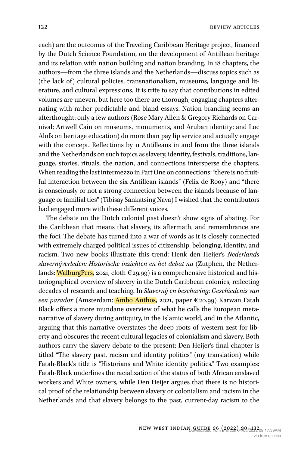each) are the outcomes of the Traveling Caribbean Heritage project, financed by the Dutch Science Foundation, on the development of Antillean heritage and its relation with nation building and nation branding. In 18 chapters, the authors—from the three islands and the Netherlands—discuss topics such as (the lack of) cultural policies, transnationalism, museums, language and literature, and cultural expressions. It is trite to say that contributions in edited volumes are uneven, but here too there are thorough, engaging chapters alternating with rather predictable and bland essays. Nation branding seems an afterthought; only a few authors (Rose Mary Allen & Gregory Richards on Carnival; Artwell Cain on museums, monuments, and Aruban identity; and Luc Alofs on heritage education) do more than pay lip service and actually engage with the concept. Reflections by 11 Antilleans in and from the three islands and the Netherlands on such topics as slavery, identity, festivals, traditions, language, stories, rituals, the nation, and connections intersperse the chapters. When reading the last intermezzo in Part One on connections: "there is no fruitful interaction between the six Antillean islands" (Felix de Rooy) and "there is consciously or not a strong connection between the islands because of language or familial ties" (Tibisay Sankatsing Nava) I wished that the contributors had engaged more with these different voices.

The debate on the Dutch colonial past doesn't show signs of abating. For the Caribbean that means that slavery, its aftermath, and remembrance are the foci. The debate has turned into a war of words as it is closely connected with extremely charged political issues of citizenship, belonging, identity, and racism. Two new books illustrate this trend: Henk den Heijer's *Nederlands slavernijverleden: Historische inzichten en het debat nu* (Zutphen, the Netherlands: WalburgPers, 2021, cloth  $\epsilon$ 29.99) is a comprehensive historical and historiographical overview of slavery in the Dutch Caribbean colonies, reflecting decades of research and teaching. In *Slavernij en beschaving: Geschiedenis van een paradox* (Amsterdam: Ambo Anthos, 2021, paper €20.99) Karwan Fatah Black offers a more mundane overview of what he calls the European metanarrative of slavery during antiquity, in the Islamic world, and in the Atlantic, arguing that this narrative overstates the deep roots of western zest for liberty and obscures the recent cultural legacies of colonialism and slavery. Both authors carry the slavery debate to the present: Den Heijer's final chapter is titled "The slavery past, racism and identity politics" (my translation) while Fatah-Black's title is "Historians and White identity politics." Two examples: Fatah-Black underlines the racialization of the status of both African enslaved workers and White owners, while Den Heijer argues that there is no historical proof of the relationship between slavery or colonialism and racism in the Netherlands and that slavery belongs to the past, current-day racism to the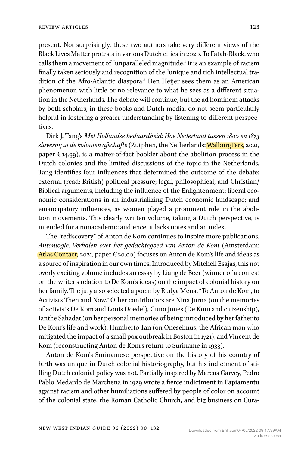present. Not surprisingly, these two authors take very different views of the Black Lives Matter protests in various Dutch cities in 2020. To Fatah-Black, who calls them a movement of "unparalleled magnitude," it is an example of racism finally taken seriously and recognition of the "unique and rich intellectual tradition of the Afro-Atlantic diaspora." Den Heijer sees them as an American phenomenon with little or no relevance to what he sees as a different situation in the Netherlands. The debate will continue, but the ad hominem attacks by both scholars, in these books and Dutch media, do not seem particularly helpful in fostering a greater understanding by listening to different perspectives.

Dirk J. Tang's *Met Hollandse bedaardheid: Hoe Nederland tussen 1800 en 1873 slavernij in de koloniën afschafte*(Zutphen, the Netherlands: WalburgPers, 2021, paper  $\epsilon$ 14.99), is a matter-of-fact booklet about the abolition process in the Dutch colonies and the limited discussions of the topic in the Netherlands. Tang identifies four influences that determined the outcome of the debate: external (read: British) political pressure; legal, philosophical, and Christian/ Biblical arguments, including the influence of the Enlightenment; liberal economic considerations in an industrializing Dutch economic landscape; and emancipatory influences, as women played a prominent role in the abolition movements. This clearly written volume, taking a Dutch perspective, is intended for a nonacademic audience; it lacks notes and an index.

The "rediscovery" of Anton de Kom continues to inspire more publications. *Antonlogie: Verhalen over het gedachtegoed van Anton de Kom* (Amsterdam: Atlas Contact, 2021, paper €20.00) focuses on Anton de Kom's life and ideas as a source of inspiration in our own times. Introduced by Mitchell Esajas, this not overly exciting volume includes an essay by Liang de Beer (winner of a contest on the writer's relation to De Kom's ideas) on the impact of colonial history on her family. The jury also selected a poem by Rudya Mena, "To Anton de Kom, to Activists Then and Now." Other contributors are Nina Jurna (on the memories of activists De Kom and Louis Doedel), Guno Jones (De Kom and citizenship), Ianthe Sahadat (on her personal memories of being introduced by her father to De Kom's life and work), Humberto Tan (on Oneseimus, the African man who mitigated the impact of a small pox outbreak in Boston in 1721), and Vincent de Kom (reconstructing Anton de Kom's return to Suriname in 1933).

Anton de Kom's Surinamese perspective on the history of his country of birth was unique in Dutch colonial historiography, but his indictment of stifling Dutch colonial policy was not. Partially inspired by Marcus Garvey, Pedro Pablo Medardo de Marchena in 1929 wrote a fierce indictment in Papiamentu against racism and other humiliations suffered by people of color on account of the colonial state, the Roman Catholic Church, and big business on Cura-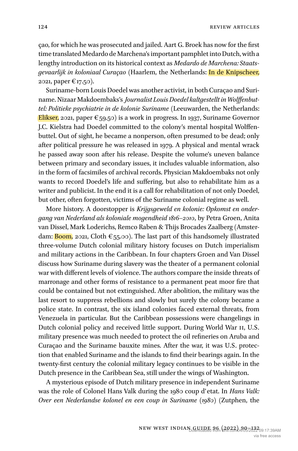çao, for which he was prosecuted and jailed. Aart G. Broek has now for the first time translated Medardo de Marchena's important pamphlet into Dutch, with a lengthy introduction on its historical context as *Medardo de Marchena: Staatsgevaarlijk in koloniaal Curaçao* (Haarlem, the Netherlands: In de Knipscheer, 2021, paper €17.50).

Suriname-born Louis Doedel was another activist, in both Curaçao and Suriname. Nizaar Makdoembaks's *Journalist Louis Doedel kaltgestellt inWolffenbuttel: Politieke psychiatrie in de kolonie Suriname* (Leeuwarden, the Netherlands: Elikser, 2021, paper  $\epsilon_{59.50}$  is a work in progress. In 1937, Suriname Governor J.C. Kielstra had Doedel committed to the colony's mental hospital Wolffenbuttel. Out of sight, he became a nonperson, often presumed to be dead; only after political pressure he was released in 1979. A physical and mental wrack he passed away soon after his release. Despite the volume's uneven balance between primary and secondary issues, it includes valuable information, also in the form of facsimiles of archival records. Physician Makdoembaks not only wants to record Doedel's life and suffering, but also to rehabilitate him as a writer and publicist. In the end it is a call for rehabilitation of not only Doedel, but other, often forgotten, victims of the Suriname colonial regime as well.

More history. A doorstopper is *Krijgsgeweld en kolonie: Opkomst en ondergang van Nederland als koloniale mogendheid 1816–2010*, by Petra Groen, Anita van Dissel, Mark Loderichs, Remco Raben & Thijs Brocades Zaalberg (Amsterdam: **Boom**, 2021, Cloth  $\epsilon_{55}$ .00). The last part of this handsomely illustrated three-volume Dutch colonial military history focuses on Dutch imperialism and military actions in the Caribbean. In four chapters Groen and Van Dissel discuss how Suriname during slavery was the theater of a permanent colonial war with different levels of violence. The authors compare the inside threats of marronage and other forms of resistance to a permanent peat moor fire that could be contained but not extinguished. After abolition, the military was the last resort to suppress rebellions and slowly but surely the colony became a police state. In contrast, the six island colonies faced external threats, from Venezuela in particular. But the Caribbean possessions were changelings in Dutch colonial policy and received little support. During World War II, U.S. military presence was much needed to protect the oil refineries on Aruba and Curaçao and the Suriname bauxite mines. After the war, it was U.S. protection that enabled Suriname and the islands to find their bearings again. In the twenty-first century the colonial military legacy continues to be visible in the Dutch presence in the Caribbean Sea, still under the wings of Washington.

A mysterious episode of Dutch military presence in independent Suriname was the role of Colonel Hans Valk during the 1980 coup d'etat. In *Hans Valk: Over een Nederlandse kolonel en een coup in Suriname (1980)* (Zutphen, the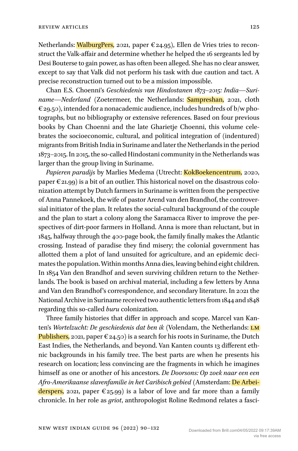Netherlands: WalburgPers, 2021, paper  $\epsilon$ 24.95), Ellen de Vries tries to reconstruct the Valk-affair and determine whether he helped the 16 sergeants led by Desi Bouterse to gain power, as has often been alleged. She has no clear answer, except to say that Valk did not perform his task with due caution and tact. A precise reconstruction turned out to be a mission impossible.

Chan E.S. Choenni's *Geschiedenis van Hindostanen 1873–2015: India—Suriname—Nederland* (Zoetermeer, the Netherlands: **Sampreshan**, 2021, cloth  $\epsilon_{29,50}$ , intended for a nonacademic audience, includes hundreds of b/w photographs, but no bibliography or extensive references. Based on four previous books by Chan Choenni and the late Gharietje Choenni, this volume celebrates the socioeconomic, cultural, and political integration of (indentured) migrants from British India in Suriname and later the Netherlands in the period 1873–2015.In 2015, the so-called Hindostani community in the Netherlands was larger than the group living in Suriname.

Papieren paradijs by Marlies Medema (Utrecht: KokBoekencentrum, 2020, paper  $\epsilon$  21.99) is a bit of an outlier. This historical novel on the disastrous colonization attempt by Dutch farmers in Suriname is written from the perspective of Anna Pannekoek, the wife of pastor Arend van den Brandhof, the controversial initiator of the plan. It relates the social-cultural background of the couple and the plan to start a colony along the Saramacca River to improve the perspectives of dirt-poor farmers in Holland. Anna is more than reluctant, but in 1845, halfway through the 400-page book, the family finally makes the Atlantic crossing. Instead of paradise they find misery; the colonial government has allotted them a plot of land unsuited for agriculture, and an epidemic decimates the population.Within months Anna dies, leaving behind eight children. In 1854 Van den Brandhof and seven surviving children return to the Netherlands. The book is based on archival material, including a few letters by Anna and Van den Brandhof's correspondence, and secondary literature. In 2021 the National Archive in Suriname received two authentic letters from1844 and1848 regarding this so-called *buru* colonization.

Three family histories that differ in approach and scope. Marcel van Kanten's *Wortelzucht: De geschiedenis dat ben ik* (Volendam, the Netherlands: LM Publishers, 2021, paper  $\epsilon$  24.50) is a search for his roots in Suriname, the Dutch East Indies, the Netherlands, and beyond. Van Kanten counts 13 different ethnic backgrounds in his family tree. The best parts are when he presents his research on location; less convincing are the fragments in which he imagines himself as one or another of his ancestors. *De Doorsons: Op zoek naar een een Afro-Amerikaanse slavenfamilie in het Caribisch gebied* (Amsterdam: De Arbeiderspers, 2021, paper  $\epsilon$ 25.99) is a labor of love and far more than a family chronicle. In her role as *griot*, anthropologist Roline Redmond relates a fasci-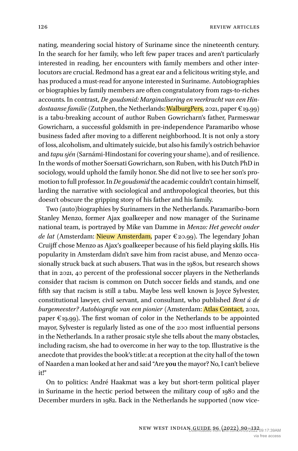126 **REVIEW ARTICLES** 

nating, meandering social history of Suriname since the nineteenth century. In the search for her family, who left few paper traces and aren't particularly interested in reading, her encounters with family members and other interlocutors are crucial. Redmond has a great ear and a felicitous writing style, and has produced a must-read for anyone interested in Suriname. Autobiographies or biographies by family members are often congratulatory from rags-to-riches accounts. In contrast, *De goudsmid: Marginalisering en veerkracht van een Hindostaanse familie* (Zutphen, the Netherlands: WalburgPers, 2021, paper  $\epsilon_{19.99}$ ) is a tabu-breaking account of author Ruben Gowricharn's father, Parmeswar Gowricharn, a successful goldsmith in pre-independence Paramaribo whose business faded after moving to a different neighborhood. It is not only a story of loss, alcoholism, and ultimately suicide, but also his family's ostrich behavior and *tapu sjén* (Sarnámi-Hindostani for covering your shame), and of resilience. In the words of mother Soersati Gowricharn, son Ruben, with his Dutch PhD in sociology, would uphold the family honor. She did not live to see her son's promotion to full professor.In *De goudsmid* the academic couldn't contain himself, larding the narrative with sociological and anthropological theories, but this doesn't obscure the gripping story of his father and his family.

Two (auto)biographies by Surinamers in the Netherlands. Paramaribo-born Stanley Menzo, former Ajax goalkeeper and now manager of the Suriname national team, is portrayed by Mike van Damme in *Menzo: Het gevecht onder de lat* (Amsterdam: Nieuw Amsterdam, paper €20.99). The legendary Johan Cruijff chose Menzo as Ajax's goalkeeper because of his field playing skills. His popularity in Amsterdam didn't save him from racist abuse, and Menzo occasionally struck back at such abusers. That was in the 1980s, but research shows that in 2021, 40 percent of the professional soccer players in the Netherlands consider that racism is common on Dutch soccer fields and stands, and one fifth say that racism is still a tabu. Maybe less well known is Joyce Sylvester, constitutional lawyer, civil servant, and consultant, who published *Bent ú de burgemeester? Autobiografie van een pionier* (Amsterdam: Atlas Contact, 2021, paper  $\epsilon$ 19.99). The first woman of color in the Netherlands to be appointed mayor, Sylvester is regularly listed as one of the 200 most influential persons in the Netherlands. In a rather prosaic style she tells about the many obstacles, including racism, she had to overcome in her way to the top. Illustrative is the anecdote that provides the book's title: at a reception at the city hall of the town of Naarden a man looked at her and said "Are **you** the mayor? No, I can't believe it!"

On to politics: André Haakmat was a key but short-term political player in Suriname in the hectic period between the military coup of 1980 and the December murders in 1982. Back in the Netherlands he supported (now vice-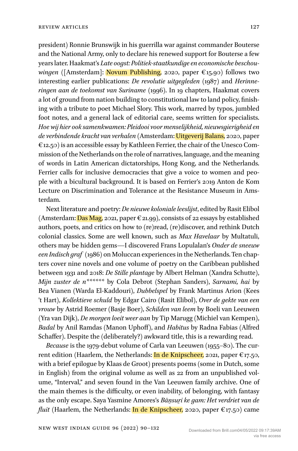president) Ronnie Brunswijk in his guerrilla war against commander Bouterse and the National Army, only to declare his renewed support for Bouterse a few years later. Haakmat's *Late oogst: Politiek-staatkundige en economische beschouwingen* ([Amsterdam]: Novum Publishing, 2020, paper €15.90) follows two interesting earlier publications: *De revolutie uitgegleden* (1987) and *Herinneringen aan de toekomst van Suriname* (1996). In 19 chapters, Haakmat covers a lot of ground from nation building to constitutional law to land policy, finishing with a tribute to poet Michael Slory. This work, marred by typos, jumbled foot notes, and a general lack of editorial care, seems written for specialists. *Hoe wij hier ook samenkwamen: Pleidooi voor menselijkheid, nieuwsgierigheid en de verbindende kracht van verhalen* (Amsterdam: Uitgeverij Balans, 2020, paper  $\epsilon$ 12.50) is an accessible essay by Kathleen Ferrier, the chair of the Unesco Commission of the Netherlands on the role of narratives, language, and the meaning of words in Latin American dictatorships, Hong Kong, and the Netherlands. Ferrier calls for inclusive democracies that give a voice to women and people with a bicultural background. It is based on Ferrier's 2019 Anton de Kom Lecture on Discrimination and Tolerance at the Resistance Museum in Amsterdam.

Next literature and poetry: *De nieuwe koloniale leeslijst*, edited by Rasit Elibol (Amsterdam: Das Mag, 2021, paper  $\epsilon$  21.99), consists of 22 essays by established authors, poets, and critics on how to (re)read, (re)discover, and rethink Dutch colonial classics. Some are well known, such as *Max Havelaar* by Multatuli, others may be hidden gems—I discovered Frans Lopulalan's *Onder de sneeuw eenIndisch graf* (1986) on Moluccan experiences in the Netherlands. Ten chapters cover nine novels and one volume of poetry on the Caribbean published between 1931 and 2018: *De Stille plantage* by Albert Helman (Xandra Schutte), *Mijn zuster de n\*\*\*\*\*\** by Cola Debrot (Stephan Sanders), *Sarnami, hai* by Bea Vianen (Warda El-Kaddouri), *Dubbelspel* by Frank Martinus Arion (Kees 't Hart), *Kollektieve schuld* by Edgar Cairo (Rasit Elibol), *Over de gekte van een vrouw* by Astrid Roemer (Basje Boer), *Schilden van leem* by Boeli van Leeuwen (Yra van Dijk), *De morgen loeit weer aan* by Tip Marugg (Michiel van Kempen), *Badal* by Anil Ramdas (Manon Uphoff), and *Habitus* by Radna Fabias (Alfred Schaffer). Despite the (deliberately?) awkward title, this is a rewarding read.

*Because* is the 1979-debut volume of Carla van Leeuwen (1955–80). The current edition (Haarlem, the Netherlands: In de Knipscheer, 2021, paper  $\epsilon_{17.50}$ , with a brief epilogue by Klaas de Groot) presents poems (some in Dutch, some in English) from the original volume as well as 22 from an unpublished volume, "Interval," and seven found in the Van Leeuwen family archive. One of the main themes is the difficulty, or even inability, of belonging, with fantasy as the only escape. Saya Yasmine Amores's *Bāṉsuṟi ke gam: Het verdriet van de fluit* (Haarlem, the Netherlands: **In de Knipscheer**, 2020, paper  $\epsilon_{17.50}$ ) came